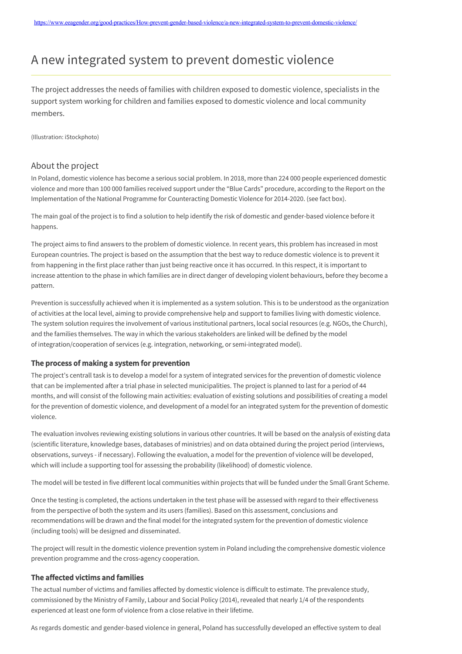# A new integrated system to prevent domestic violence

The project addresses the needs of families with children exposed to domestic violence, specialists in the support system working for children and families exposed to domestic violence and local community members.

(Illustration: iStockphoto)

## About the project

In Poland, domestic violence has become a serious social problem. In 2018, more than 224 000 people experienced domestic violence and more than 100 000 families received support under the "Blue Cards" procedure, according to the Report on the Implementation of the National Programme for Counteracting Domestic Violence for 2014-2020. (see fact box).

The main goal of the project is to find a solution to help identify the risk of domestic and gender-based violence before it happens.

The project aims to find answers to the problem of domestic violence. In recent years, this problem has increased in most European countries. The project is based on the assumption that the best way to reduce domestic violence is to prevent it from happening in the first place rather than just being reactive once it has occurred. In this respect, it is important to increase attention to the phase in which families are in direct danger of developing violent behaviours, before they become a pattern.

Prevention is successfully achieved when it is implemented as a system solution. This is to be understood as the organization of activities at the local level, aiming to provide comprehensive help and support to families living with domestic violence. The system solution requires the involvement of various institutional partners, local social resources (e.g. NGOs, the Church), and the families themselves. The way in which the various stakeholders are linked will be defined by the model of integration/cooperation of services (e.g. integration, networking, or semi-integrated model).

#### The process of making a system for prevention

The project's centrall task is to develop a model for a system of integrated services for the prevention of domestic violence that can be implemented after a trial phase in selected municipalities. The project is planned to last for a period of 44 months, and will consist of the following main activities: evaluation of existing solutions and possibilities of creating a model for the prevention of domestic violence, and development of a model for an integrated system for the prevention of domestic violence.

The evaluation involves reviewing existing solutions in various other countries. It will be based on the analysis of existing data (scientific literature, knowledge bases, databases of ministries) and on data obtained during the project period (interviews, observations, surveys - if necessary). Following the evaluation, a model for the prevention of violence will be developed, which will include a supporting tool for assessing the probability (likelihood) of domestic violence.

The model will be tested in five different local communities within projects that will be funded under the Small Grant Scheme.

Once the testing is completed, the actions undertaken in the test phase will be assessed with regard to their effectiveness from the perspective of both the system and its users (families). Based on this assessment, conclusions and recommendations will be drawn and the final model for the integrated system for the prevention of domestic violence (including tools) will be designed and disseminated.

The project will result in the domestic violence prevention system in Poland including the comprehensive domestic violence prevention programme and the cross-agency cooperation.

#### The affected victims and families

The actual number of victims and families affected by domestic violence is difficult to estimate. The prevalence study, commissioned by the Ministry of Family, Labour and Social Policy (2014), revealed that nearly 1/4 of the respondents experienced at least one form of violence from a close relative in their lifetime.

As regards domestic and gender-based violence in general, Poland has successfully developed an effective system to deal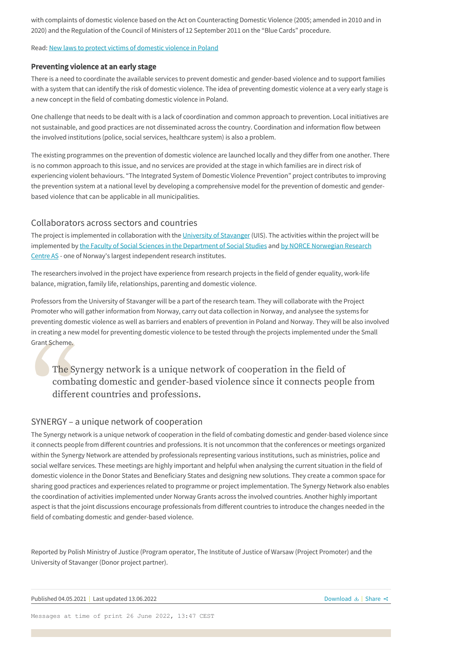with complaints of domestic violence based on the Act on Counteracting Domestic Violence (2005; amended in 2010 and in 2020) and the Regulation of the Council of Ministers of 12 September 2011 on the "Blue Cards" procedure.

Read: [New laws to protect victims of domestic violence in Poland](https://www.eeagender.org/the-synergy-network/news/nyhetsside/)

#### Preventing violence at an early stage

There is a need to coordinate the available services to prevent domestic and gender-based violence and to support families with a system that can identify the risk of domestic violence. The idea of preventing domestic violence at a very early stage is a new concept in the field of combating domestic violence in Poland.

One challenge that needs to be dealt with is a lack of coordination and common approach to prevention. Local initiatives are not sustainable, and good practices are not disseminated across the country. Coordination and information flow between the involved institutions (police, social services, healthcare system) is also a problem.

The existing programmes on the prevention of domestic violence are launched locally and they differ from one another. There is no common approach to this issue, and no services are provided at the stage in which families are in direct risk of experiencing violent behaviours. "The Integrated System of Domestic Violence Prevention" project contributes to improving the prevention system at a national level by developing a comprehensive model for the prevention of domestic and genderbased violence that can be applicable in all municipalities.

### Collaborators across sectors and countries

The project is implemented in collaboration with the [University of Stavanger](https://www.uis.no/nb) (UIS). The activities within the project will be [implemented by t](https://www.norceresearch.no/en/about-us)[he Faculty of Social Sciences in the Department of Social Studies](https://www.uis.no/en/faculty-social-sciences) [and by NORCE Norwegian Research](https://www.norceresearch.no/en/about-us) Centre AS - one of Norway's largest independent research institutes.

The researchers involved in the project have experience from research projects in the field of gender equality, work-life balance, migration, family life, relationships, parenting and domestic violence.

Professors from the University of Stavanger will be a part of the research team. They will collaborate with the Project Promoter who will gather information from Norway, carry out data collection in Norway, and analysee the systems for preventing domestic violence as well as barriers and enablers of prevention in Poland and Norway. They will be also involved in creating a new model for preventing domestic violence to be tested through the projects implemented under the Small Grant Scheme.

# The Synergy network<br>
combating domestic<br>
different countries as<br>
SYNERGY – a unique networ<br>
The Synergy network is a unique network<br>
it connects people from different countries The Synergy network is a unique network of cooperation in the field of combating domestic and gender-based violence since it connects people from different countries and professions.

# SYNERGY – a unique network of cooperation

The Synergy network is a unique network of cooperation in the field of combating domestic and gender-based violence since it connects people from different countries and professions. It is not uncommon that the conferences or meetings organized within the Synergy Network are attended by professionals representing various institutions, such as ministries, police and social welfare services. These meetings are highly important and helpful when analysing the current situation in the field of domestic violence in the Donor States and Beneficiary States and designing new solutions. They create a common space for sharing good practices and experiences related to programme or project implementation. The Synergy Network also enables the coordination of activities implemented under Norway Grants across the involved countries. Another highly important aspect is that the joint discussions encourage professionals from different countries to introduce the changes needed in the field of combating domestic and gender-based violence.

Reported by Polish Ministry of Justice (Program operator, The Institute of Justice of Warsaw (Project Promoter) and the University of Stavanger (Donor project partner).